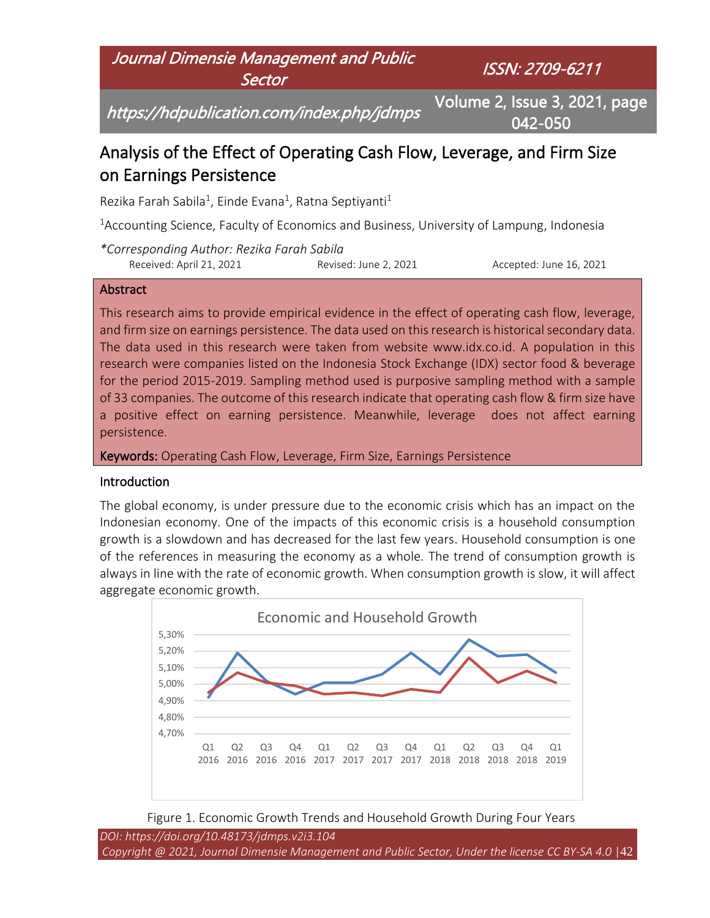

# Analysis of the Effect of Operating Cash Flow, Leverage, and Firm Size on Earnings Persistence

Rezika Farah Sabila<sup>1</sup>, Einde Evana<sup>1</sup>, Ratna Septiyanti<sup>1</sup>

<sup>1</sup>Accounting Science, Faculty of Economics and Business, University of Lampung, Indonesia

*\*Corresponding Author: Rezika Farah Sabila* Received: April 21, 2021 Revised: June 2, 2021 Accepted: June 16, 2021

#### **Abstract**

This research aims to provide empirical evidence in the effect of operating cash flow, leverage, and firm size on earnings persistence. The data used on this research is historical secondary data. The data used in this research were taken from website www.idx.co.id. A population in this research were companies listed on the Indonesia Stock Exchange (IDX) sector food & beverage for the period 2015-2019. Sampling method used is purposive sampling method with a sample of 33 companies. The outcome of this research indicate that operating cash flow & firm size have a positive effect on earning persistence. Meanwhile, leverage does not affect earning persistence.

Keywords: Operating Cash Flow, Leverage, Firm Size, Earnings Persistence

#### **Introduction**

The global economy, is under pressure due to the economic crisis which has an impact on the Indonesian economy. One of the impacts of this economic crisis is a household consumption growth is a slowdown and has decreased for the last few years. Household consumption is one of the references in measuring the economy as a whole. The trend of consumption growth is always in line with the rate of economic growth. When consumption growth is slow, it will affect aggregate economic growth.





*DOI: https://doi.org/10.48173/jdmps.v2i3.104 Copyright @ 2021, Journal Dimensie Management and Public Sector, Under the license CC BY-SA 4.0* |42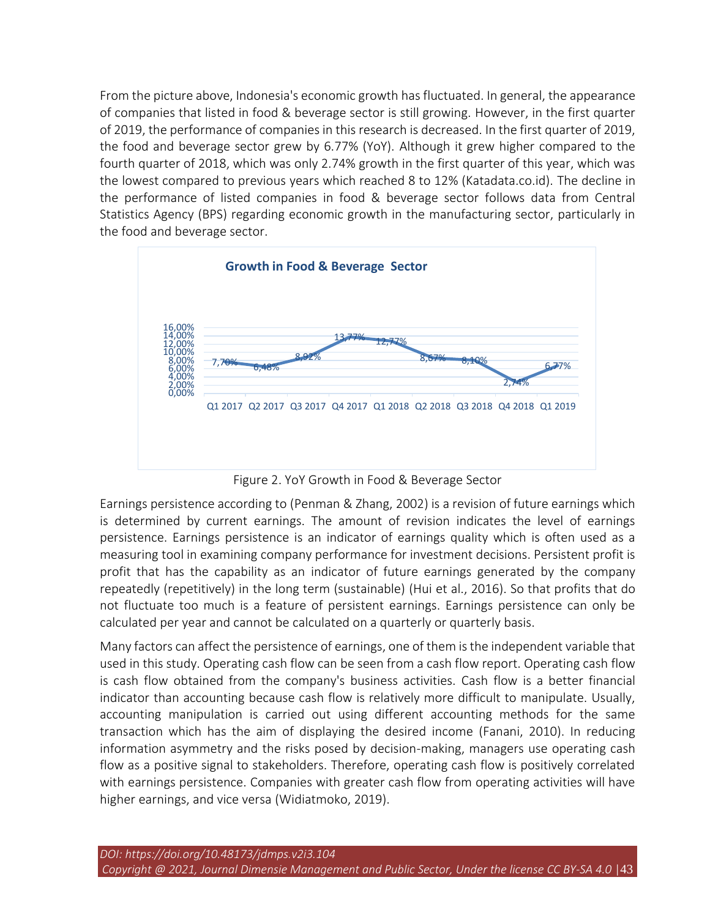From the picture above, Indonesia's economic growth has fluctuated. In general, the appearance of companies that listed in food & beverage sector is still growing. However, in the first quarter of 2019, the performance of companies in this research is decreased. In the first quarter of 2019, the food and beverage sector grew by 6.77% (YoY). Although it grew higher compared to the fourth quarter of 2018, which was only 2.74% growth in the first quarter of this year, which was the lowest compared to previous years which reached 8 to 12% (Katadata.co.id). The decline in the performance of listed companies in food & beverage sector follows data from Central Statistics Agency (BPS) regarding economic growth in the manufacturing sector, particularly in the food and beverage sector.



Figure 2. YoY Growth in Food & Beverage Sector

Earnings persistence according to (Penman & Zhang, 2002) is a revision of future earnings which is determined by current earnings. The amount of revision indicates the level of earnings persistence. Earnings persistence is an indicator of earnings quality which is often used as a measuring tool in examining company performance for investment decisions. Persistent profit is profit that has the capability as an indicator of future earnings generated by the company repeatedly (repetitively) in the long term (sustainable) (Hui et al., 2016). So that profits that do not fluctuate too much is a feature of persistent earnings. Earnings persistence can only be calculated per year and cannot be calculated on a quarterly or quarterly basis.

Many factors can affect the persistence of earnings, one of them is the independent variable that used in this study. Operating cash flow can be seen from a cash flow report. Operating cash flow is cash flow obtained from the company's business activities. Cash flow is a better financial indicator than accounting because cash flow is relatively more difficult to manipulate. Usually, accounting manipulation is carried out using different accounting methods for the same transaction which has the aim of displaying the desired income (Fanani, 2010). In reducing information asymmetry and the risks posed by decision-making, managers use operating cash flow as a positive signal to stakeholders. Therefore, operating cash flow is positively correlated with earnings persistence. Companies with greater cash flow from operating activities will have higher earnings, and vice versa (Widiatmoko, 2019).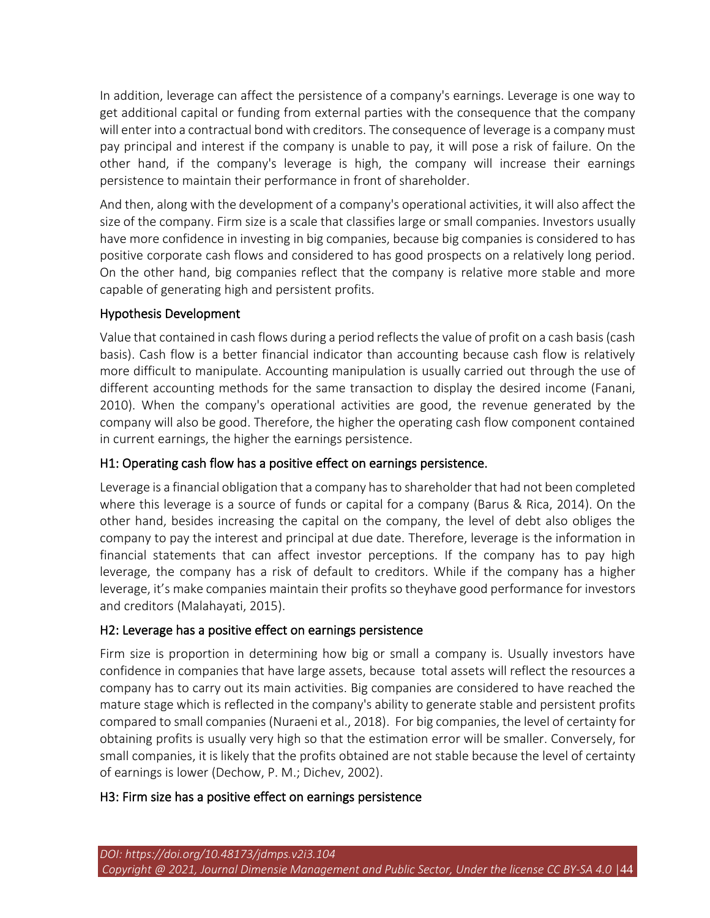In addition, leverage can affect the persistence of a company's earnings. Leverage is one way to get additional capital or funding from external parties with the consequence that the company will enter into a contractual bond with creditors. The consequence of leverage is a company must pay principal and interest if the company is unable to pay, it will pose a risk of failure. On the other hand, if the company's leverage is high, the company will increase their earnings persistence to maintain their performance in front of shareholder.

And then, along with the development of a company's operational activities, it will also affect the size of the company. Firm size is a scale that classifies large or small companies. Investors usually have more confidence in investing in big companies, because big companies is considered to has positive corporate cash flows and considered to has good prospects on a relatively long period. On the other hand, big companies reflect that the company is relative more stable and more capable of generating high and persistent profits.

### Hypothesis Development

Value that contained in cash flows during a period reflects the value of profit on a cash basis (cash basis). Cash flow is a better financial indicator than accounting because cash flow is relatively more difficult to manipulate. Accounting manipulation is usually carried out through the use of different accounting methods for the same transaction to display the desired income (Fanani, 2010). When the company's operational activities are good, the revenue generated by the company will also be good. Therefore, the higher the operating cash flow component contained in current earnings, the higher the earnings persistence.

### H1: Operating cash flow has a positive effect on earnings persistence.

Leverage is a financial obligation that a company has to shareholder that had not been completed where this leverage is a source of funds or capital for a company (Barus & Rica, 2014). On the other hand, besides increasing the capital on the company, the level of debt also obliges the company to pay the interest and principal at due date. Therefore, leverage is the information in financial statements that can affect investor perceptions. If the company has to pay high leverage, the company has a risk of default to creditors. While if the company has a higher leverage, it's make companies maintain their profits so theyhave good performance for investors and creditors (Malahayati, 2015).

### H2: Leverage has a positive effect on earnings persistence

Firm size is proportion in determining how big or small a company is. Usually investors have confidence in companies that have large assets, because total assets will reflect the resources a company has to carry out its main activities. Big companies are considered to have reached the mature stage which is reflected in the company's ability to generate stable and persistent profits compared to small companies (Nuraeni et al., 2018). For big companies, the level of certainty for obtaining profits is usually very high so that the estimation error will be smaller. Conversely, for small companies, it is likely that the profits obtained are not stable because the level of certainty of earnings is lower (Dechow, P. M.; Dichev, 2002).

### H3: Firm size has a positive effect on earnings persistence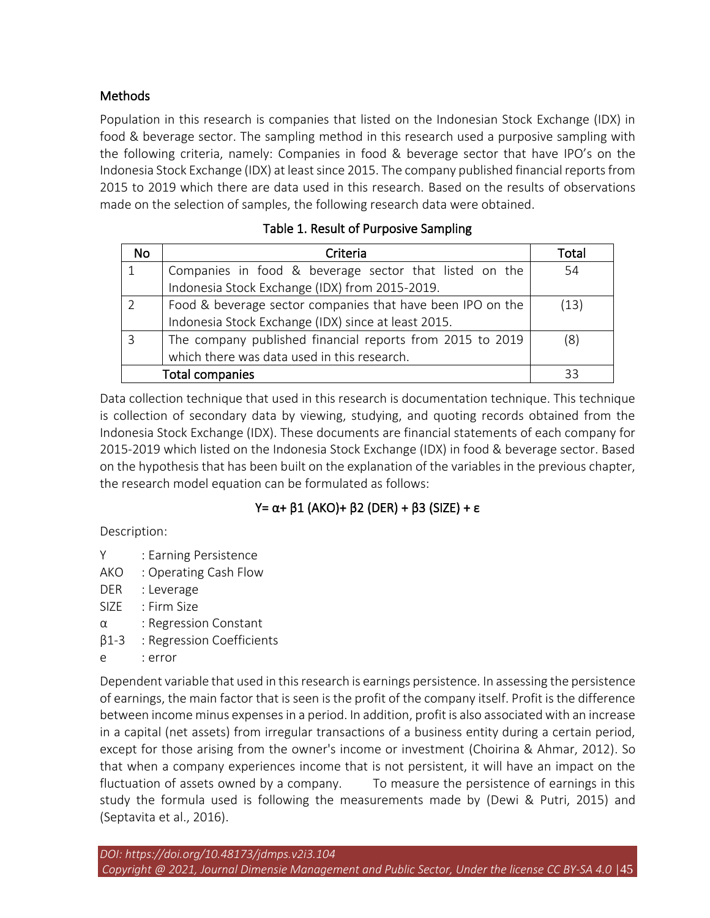# **Methods**

Population in this research is companies that listed on the Indonesian Stock Exchange (IDX) in food & beverage sector. The sampling method in this research used a purposive sampling with the following criteria, namely: Companies in food & beverage sector that have IPO's on the Indonesia Stock Exchange (IDX) at least since 2015. The company published financial reports from 2015 to 2019 which there are data used in this research. Based on the results of observations made on the selection of samples, the following research data were obtained.

| <b>No</b> | Criteria                                                   | Total |
|-----------|------------------------------------------------------------|-------|
|           | Companies in food & beverage sector that listed on the     | 54    |
|           | Indonesia Stock Exchange (IDX) from 2015-2019.             |       |
|           | Food & beverage sector companies that have been IPO on the | (13)  |
|           | Indonesia Stock Exchange (IDX) since at least 2015.        |       |
| 3         | The company published financial reports from 2015 to 2019  | (8)   |
|           | which there was data used in this research.                |       |
|           | 33                                                         |       |

# Table 1. Result of Purposive Sampling

Data collection technique that used in this research is documentation technique. This technique is collection of secondary data by viewing, studying, and quoting records obtained from the Indonesia Stock Exchange (IDX). These documents are financial statements of each company for 2015-2019 which listed on the Indonesia Stock Exchange (IDX) in food & beverage sector. Based on the hypothesis that has been built on the explanation of the variables in the previous chapter, the research model equation can be formulated as follows:

# Y= α+ β1 (AKO)+ β2 (DER) + β3 (SIZE) + ε

Description:

- Y : Earning Persistence
- AKO : Operating Cash Flow
- DER : Leverage
- SIZE : Firm Size
- α : Regression Constant
- β1-3 : Regression Coefficients
- e : error

Dependent variable that used in this research is earnings persistence. In assessing the persistence of earnings, the main factor that is seen is the profit of the company itself. Profit is the difference between income minus expenses in a period. In addition, profit is also associated with an increase in a capital (net assets) from irregular transactions of a business entity during a certain period, except for those arising from the owner's income or investment (Choirina & Ahmar, 2012). So that when a company experiences income that is not persistent, it will have an impact on the fluctuation of assets owned by a company. To measure the persistence of earnings in this study the formula used is following the measurements made by (Dewi & Putri, 2015) and (Septavita et al., 2016).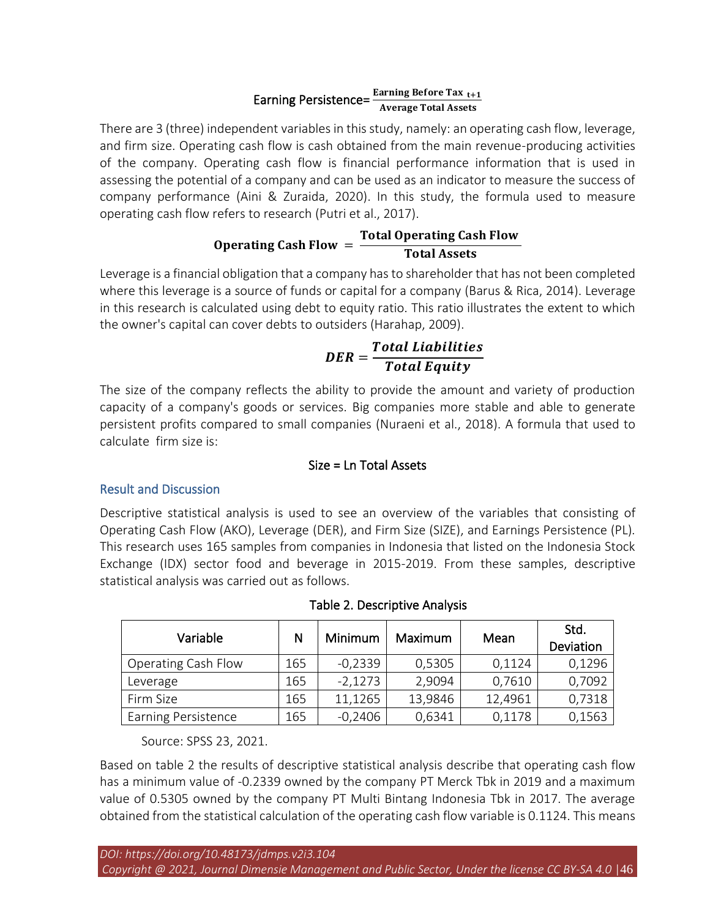#### Earning Persistence= $\frac{\text{Earning Before Tax}_{t+1}}{\text{Average Total Asset}}$ Average Total Assets

There are 3 (three) independent variables in this study, namely: an operating cash flow, leverage, and firm size. Operating cash flow is cash obtained from the main revenue-producing activities of the company. Operating cash flow is financial performance information that is used in assessing the potential of a company and can be used as an indicator to measure the success of company performance (Aini & Zuraida, 2020). In this study, the formula used to measure operating cash flow refers to research (Putri et al., 2017).

# Operating Cash Flow  $=$ Total Operating Cash Flow<br>Total Assets

Leverage is a financial obligation that a company has to shareholder that has not been completed where this leverage is a source of funds or capital for a company (Barus & Rica, 2014). Leverage in this research is calculated using debt to equity ratio. This ratio illustrates the extent to which the owner's capital can cover debts to outsiders (Harahap, 2009).

$$
DER = \frac{Total\ Liabilities}{Total\ Equity}
$$

The size of the company reflects the ability to provide the amount and variety of production capacity of a company's goods or services. Big companies more stable and able to generate persistent profits compared to small companies (Nuraeni et al., 2018). A formula that used to calculate firm size is:

# Size = Ln Total Assets

# Result and Discussion

Descriptive statistical analysis is used to see an overview of the variables that consisting of Operating Cash Flow (AKO), Leverage (DER), and Firm Size (SIZE), and Earnings Persistence (PL). This research uses 165 samples from companies in Indonesia that listed on the Indonesia Stock Exchange (IDX) sector food and beverage in 2015-2019. From these samples, descriptive statistical analysis was carried out as follows.

| Variable                   | N   | Minimum   | Maximum | Mean    | Std.<br>Deviation |
|----------------------------|-----|-----------|---------|---------|-------------------|
| <b>Operating Cash Flow</b> | 165 | $-0,2339$ | 0,5305  | 0,1124  | 0,1296            |
| Leverage                   | 165 | $-2,1273$ | 2,9094  | 0,7610  | 0,7092            |
| Firm Size                  | 165 | 11,1265   | 13,9846 | 12,4961 | 0,7318            |
| <b>Earning Persistence</b> | 165 | $-0,2406$ | 0,6341  | 0,1178  | 0,1563            |

|  | Table 2. Descriptive Analysis |  |
|--|-------------------------------|--|
|--|-------------------------------|--|

Source: SPSS 23, 2021.

Based on table 2 the results of descriptive statistical analysis describe that operating cash flow has a minimum value of -0.2339 owned by the company PT Merck Tbk in 2019 and a maximum value of 0.5305 owned by the company PT Multi Bintang Indonesia Tbk in 2017. The average obtained from the statistical calculation of the operating cash flow variable is 0.1124. This means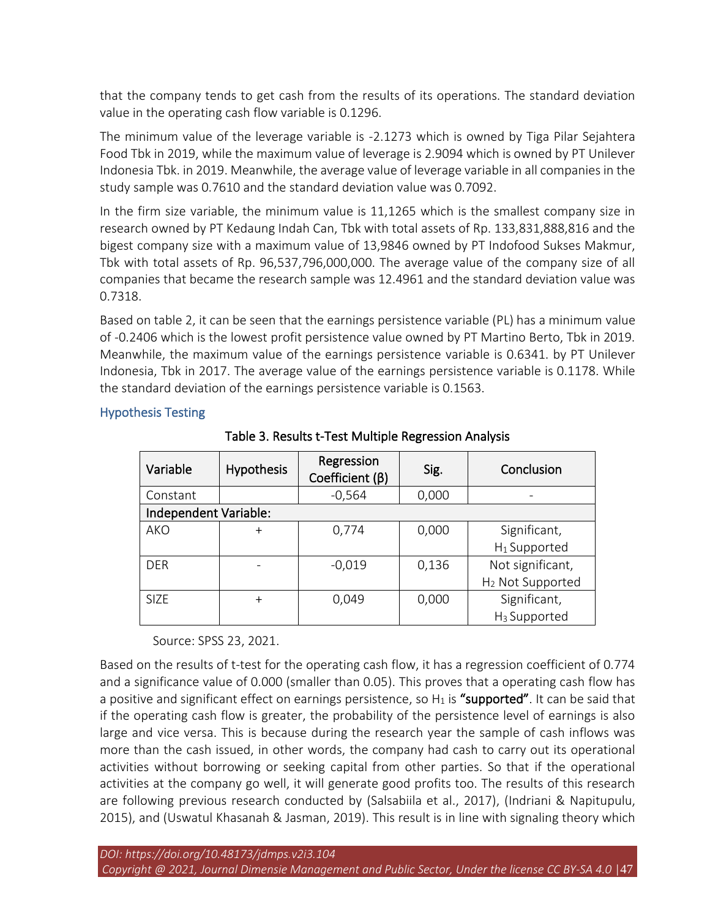that the company tends to get cash from the results of its operations. The standard deviation value in the operating cash flow variable is 0.1296.

The minimum value of the leverage variable is -2.1273 which is owned by Tiga Pilar Sejahtera Food Tbk in 2019, while the maximum value of leverage is 2.9094 which is owned by PT Unilever Indonesia Tbk. in 2019. Meanwhile, the average value of leverage variable in all companies in the study sample was 0.7610 and the standard deviation value was 0.7092.

In the firm size variable, the minimum value is 11,1265 which is the smallest company size in research owned by PT Kedaung Indah Can, Tbk with total assets of Rp. 133,831,888,816 and the bigest company size with a maximum value of 13,9846 owned by PT Indofood Sukses Makmur, Tbk with total assets of Rp. 96,537,796,000,000. The average value of the company size of all companies that became the research sample was 12.4961 and the standard deviation value was 0.7318.

Based on table 2, it can be seen that the earnings persistence variable (PL) has a minimum value of -0.2406 which is the lowest profit persistence value owned by PT Martino Berto, Tbk in 2019. Meanwhile, the maximum value of the earnings persistence variable is 0.6341. by PT Unilever Indonesia, Tbk in 2017. The average value of the earnings persistence variable is 0.1178. While the standard deviation of the earnings persistence variable is 0.1563.

#### Hypothesis Testing

| Variable              | Hypothesis | Regression<br>Coefficient $(\beta)$ | Sig.  | Conclusion                   |  |  |  |
|-----------------------|------------|-------------------------------------|-------|------------------------------|--|--|--|
| Constant              |            | $-0,564$                            | 0,000 |                              |  |  |  |
| Independent Variable: |            |                                     |       |                              |  |  |  |
| <b>AKO</b>            | $^{+}$     | 0,774                               | 0,000 | Significant,                 |  |  |  |
|                       |            |                                     |       | $H_1$ Supported              |  |  |  |
| <b>DER</b>            |            | $-0,019$                            | 0,136 | Not significant,             |  |  |  |
|                       |            |                                     |       | H <sub>2</sub> Not Supported |  |  |  |
| <b>SIZE</b>           | $^{+}$     | 0,049                               | 0,000 | Significant,                 |  |  |  |
|                       |            |                                     |       | H <sub>3</sub> Supported     |  |  |  |

Table 3. Results t-Test Multiple Regression Analysis

Source: SPSS 23, 2021.

Based on the results of t-test for the operating cash flow, it has a regression coefficient of 0.774 and a significance value of 0.000 (smaller than 0.05). This proves that a operating cash flow has a positive and significant effect on earnings persistence, so  $H_1$  is "supported". It can be said that if the operating cash flow is greater, the probability of the persistence level of earnings is also large and vice versa. This is because during the research year the sample of cash inflows was more than the cash issued, in other words, the company had cash to carry out its operational activities without borrowing or seeking capital from other parties. So that if the operational activities at the company go well, it will generate good profits too. The results of this research are following previous research conducted by (Salsabiila et al., 2017), (Indriani & Napitupulu, 2015), and (Uswatul Khasanah & Jasman, 2019). This result is in line with signaling theory which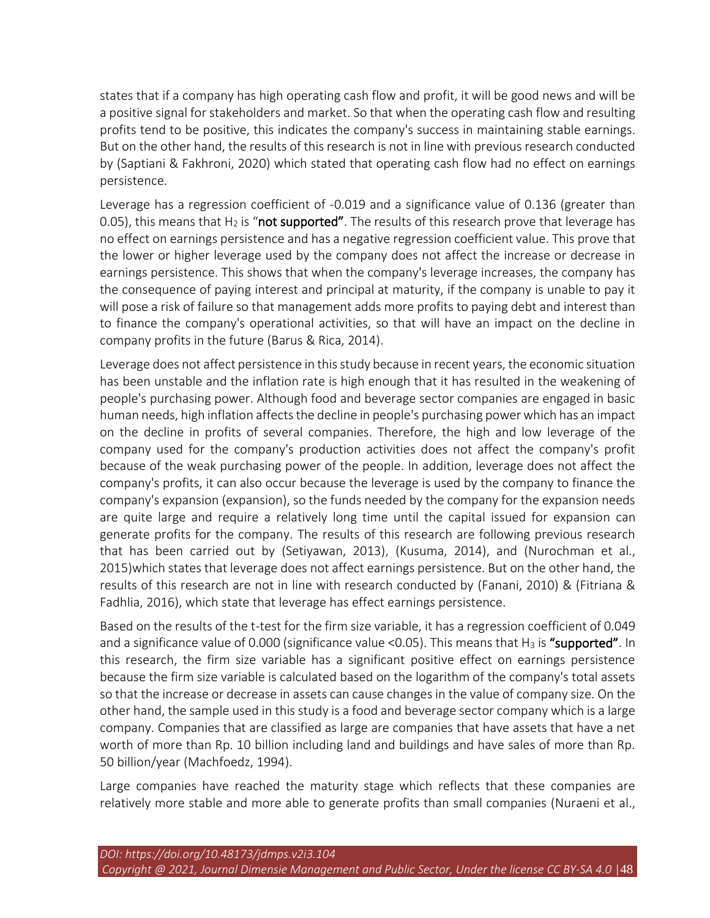states that if a company has high operating cash flow and profit, it will be good news and will be a positive signal for stakeholders and market. So that when the operating cash flow and resulting profits tend to be positive, this indicates the company's success in maintaining stable earnings. But on the other hand, the results of this research is not in line with previous research conducted by (Saptiani & Fakhroni, 2020) which stated that operating cash flow had no effect on earnings persistence.

Leverage has a regression coefficient of -0.019 and a significance value of 0.136 (greater than 0.05), this means that  $H_2$  is "not supported". The results of this research prove that leverage has no effect on earnings persistence and has a negative regression coefficient value. This prove that the lower or higher leverage used by the company does not affect the increase or decrease in earnings persistence. This shows that when the company's leverage increases, the company has the consequence of paying interest and principal at maturity, if the company is unable to pay it will pose a risk of failure so that management adds more profits to paying debt and interest than to finance the company's operational activities, so that will have an impact on the decline in company profits in the future (Barus & Rica, 2014).

Leverage does not affect persistence in this study because in recent years, the economic situation has been unstable and the inflation rate is high enough that it has resulted in the weakening of people's purchasing power. Although food and beverage sector companies are engaged in basic human needs, high inflation affects the decline in people's purchasing power which has an impact on the decline in profits of several companies. Therefore, the high and low leverage of the company used for the company's production activities does not affect the company's profit because of the weak purchasing power of the people. In addition, leverage does not affect the company's profits, it can also occur because the leverage is used by the company to finance the company's expansion (expansion), so the funds needed by the company for the expansion needs are quite large and require a relatively long time until the capital issued for expansion can generate profits for the company. The results of this research are following previous research that has been carried out by (Setiyawan, 2013), (Kusuma, 2014), and (Nurochman et al., 2015)which states that leverage does not affect earnings persistence. But on the other hand, the results of this research are not in line with research conducted by (Fanani, 2010) & (Fitriana & Fadhlia, 2016), which state that leverage has effect earnings persistence.

Based on the results of the t-test for the firm size variable, it has a regression coefficient of 0.049 and a significance value of 0.000 (significance value <0.05). This means that  $H_3$  is "supported". In this research, the firm size variable has a significant positive effect on earnings persistence because the firm size variable is calculated based on the logarithm of the company's total assets so that the increase or decrease in assets can cause changes in the value of company size. On the other hand, the sample used in this study is a food and beverage sector company which is a large company. Companies that are classified as large are companies that have assets that have a net worth of more than Rp. 10 billion including land and buildings and have sales of more than Rp. 50 billion/year (Machfoedz, 1994).

Large companies have reached the maturity stage which reflects that these companies are relatively more stable and more able to generate profits than small companies (Nuraeni et al.,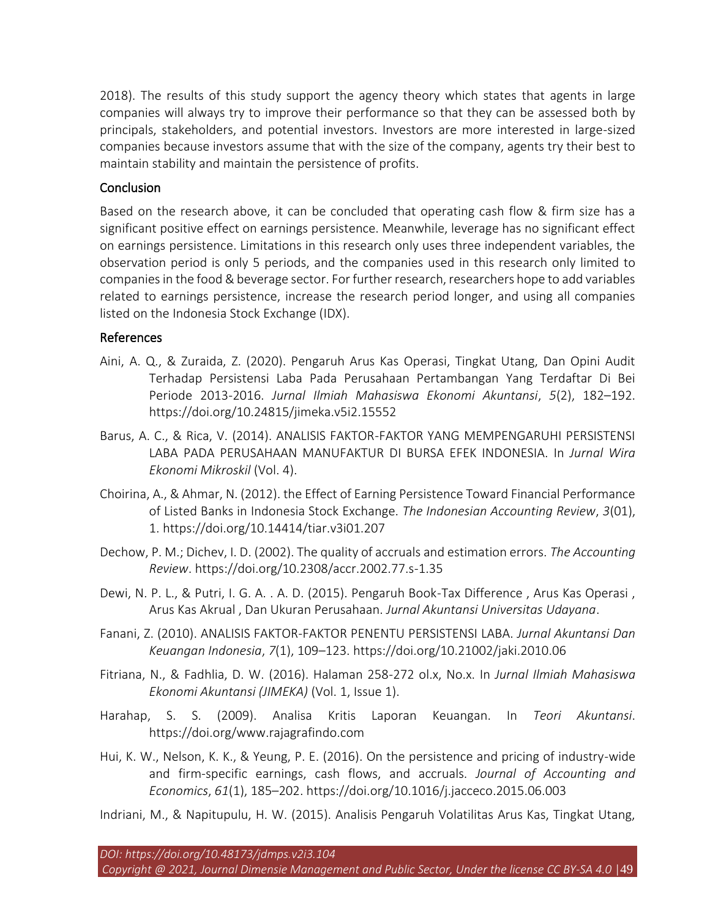2018). The results of this study support the agency theory which states that agents in large companies will always try to improve their performance so that they can be assessed both by principals, stakeholders, and potential investors. Investors are more interested in large-sized companies because investors assume that with the size of the company, agents try their best to maintain stability and maintain the persistence of profits.

#### Conclusion

Based on the research above, it can be concluded that operating cash flow & firm size has a significant positive effect on earnings persistence. Meanwhile, leverage has no significant effect on earnings persistence. Limitations in this research only uses three independent variables, the observation period is only 5 periods, and the companies used in this research only limited to companies in the food & beverage sector. For further research, researchers hope to add variables related to earnings persistence, increase the research period longer, and using all companies listed on the Indonesia Stock Exchange (IDX).

#### References

- Aini, A. Q., & Zuraida, Z. (2020). Pengaruh Arus Kas Operasi, Tingkat Utang, Dan Opini Audit Terhadap Persistensi Laba Pada Perusahaan Pertambangan Yang Terdaftar Di Bei Periode 2013-2016. *Jurnal Ilmiah Mahasiswa Ekonomi Akuntansi*, *5*(2), 182–192. https://doi.org/10.24815/jimeka.v5i2.15552
- Barus, A. C., & Rica, V. (2014). ANALISIS FAKTOR-FAKTOR YANG MEMPENGARUHI PERSISTENSI LABA PADA PERUSAHAAN MANUFAKTUR DI BURSA EFEK INDONESIA. In *Jurnal Wira Ekonomi Mikroskil* (Vol. 4).
- Choirina, A., & Ahmar, N. (2012). the Effect of Earning Persistence Toward Financial Performance of Listed Banks in Indonesia Stock Exchange. *The Indonesian Accounting Review*, *3*(01), 1. https://doi.org/10.14414/tiar.v3i01.207
- Dechow, P. M.; Dichev, I. D. (2002). The quality of accruals and estimation errors. *The Accounting Review*. https://doi.org/10.2308/accr.2002.77.s-1.35
- Dewi, N. P. L., & Putri, I. G. A. . A. D. (2015). Pengaruh Book-Tax Difference , Arus Kas Operasi , Arus Kas Akrual , Dan Ukuran Perusahaan. *Jurnal Akuntansi Universitas Udayana*.
- Fanani, Z. (2010). ANALISIS FAKTOR-FAKTOR PENENTU PERSISTENSI LABA. *Jurnal Akuntansi Dan Keuangan Indonesia*, *7*(1), 109–123. https://doi.org/10.21002/jaki.2010.06
- Fitriana, N., & Fadhlia, D. W. (2016). Halaman 258-272 ol.x, No.x. In *Jurnal Ilmiah Mahasiswa Ekonomi Akuntansi (JIMEKA)* (Vol. 1, Issue 1).
- Harahap, S. S. (2009). Analisa Kritis Laporan Keuangan. In *Teori Akuntansi*. https://doi.org/www.rajagrafindo.com
- Hui, K. W., Nelson, K. K., & Yeung, P. E. (2016). On the persistence and pricing of industry-wide and firm-specific earnings, cash flows, and accruals. *Journal of Accounting and Economics*, *61*(1), 185–202. https://doi.org/10.1016/j.jacceco.2015.06.003
- Indriani, M., & Napitupulu, H. W. (2015). Analisis Pengaruh Volatilitas Arus Kas, Tingkat Utang,

*DOI: https://doi.org/10.48173/jdmps.v2i3.104*

*Copyright @ 2021, Journal Dimensie Management and Public Sector, Under the license CC BY-SA 4.0* |49